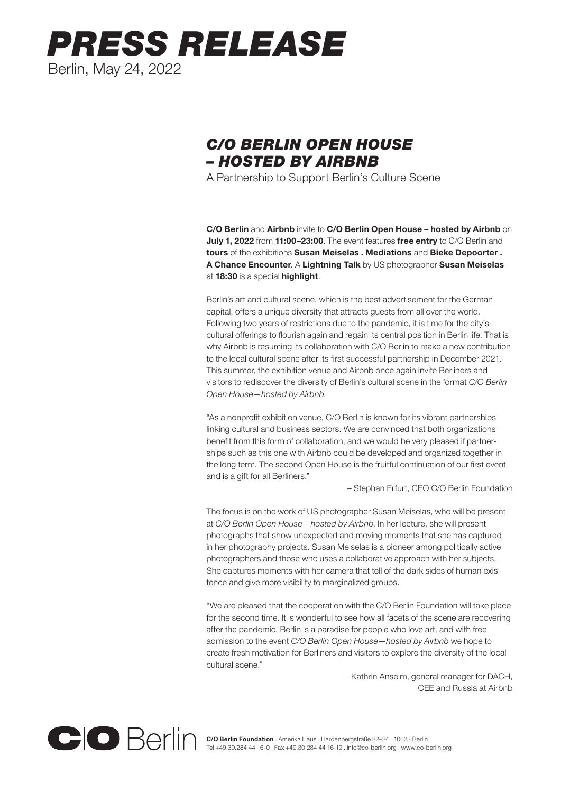## *PRESS RELEASE* Berlin, May 24, 2022

## *C/O BERLIN OPEN HOUSE – HOSTED BY AIRBNB*

A Partnership to Support Berlin's Culture Scene

C/O Berlin and Airbnb invite to C/O Berlin Open House – hosted by Airbnb on July 1, 2022 from 11:00-23:00. The event features free entry to C/O Berlin and tours of the exhibitions Susan Meiselas . Mediations and Bieke Depoorter . A Chance Encounter. A Lightning Talk by US photographer Susan Meiselas at 18:30 is a special highlight.

Berlin's art and cultural scene, which is the best advertisement for the German capital, offers a unique diversity that attracts guests from all over the world. Following two years of restrictions due to the pandemic, it is time for the city's cultural offerings to flourish again and regain its central position in Berlin life. That is why Airbnb is resuming its collaboration with C/O Berlin to make a new contribution to the local cultural scene after its first successful partnership in December 2021. This summer, the exhibition venue and Airbnb once again invite Berliners and visitors to rediscover the diversity of Berlin's cultural scene in the format *C/O Berlin Open House—hosted by Airbnb*.

"As a nonprofit exhibition venue, C/O Berlin is known for its vibrant partnerships linking cultural and business sectors. We are convinced that both organizations benefit from this form of collaboration, and we would be very pleased if partnerships such as this one with Airbnb could be developed and organized together in the long term. The second Open House is the fruitful continuation of our first event and is a gift for all Berliners."

– Stephan Erfurt, CEO C/O Berlin Foundation

The focus is on the work of US photographer Susan Meiselas, who will be present at *C/O Berlin Open House – hosted by Airbnb*. In her lecture, she will present photographs that show unexpected and moving moments that she has captured in her photography projects. Susan Meiselas is a pioneer among politically active photographers and those who uses a collaborative approach with her subjects. She captures moments with her camera that tell of the dark sides of human existence and give more visibility to marginalized groups.

"We are pleased that the cooperation with the C/O Berlin Foundation will take place for the second time. It is wonderful to see how all facets of the scene are recovering after the pandemic. Berlin is a paradise for people who love art, and with free admission to the event *C/O Berlin Open House—hosted by Airbnb* we hope to create fresh motivation for Berliners and visitors to explore the diversity of the local cultural scene."

> – Kathrin Anselm, general manager for DACH, CEE and Russia at Airbnb